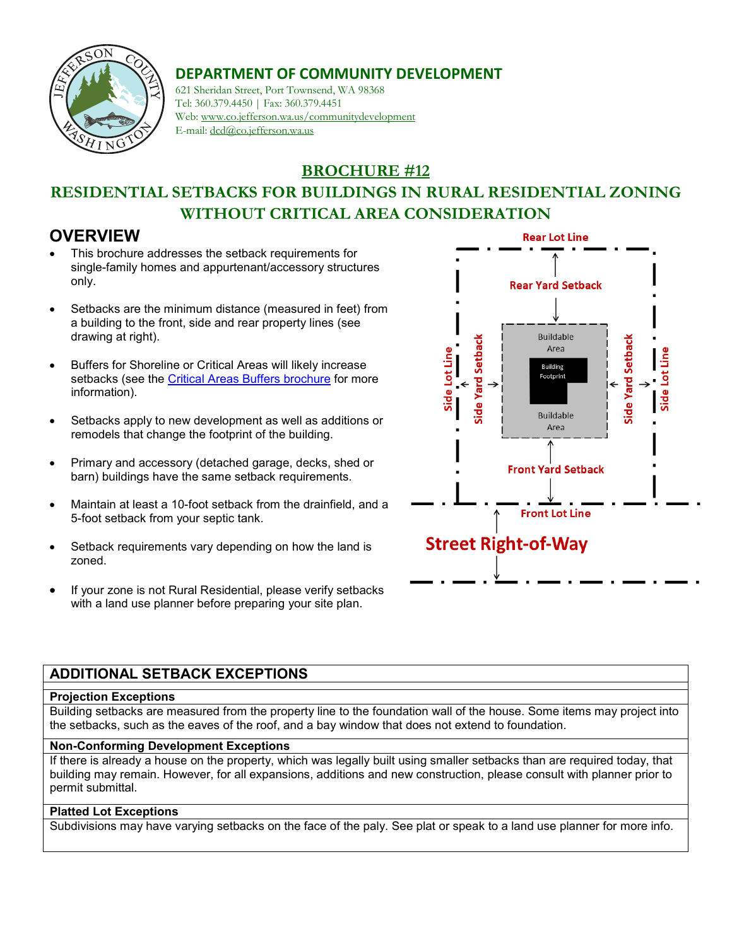

# **DEPARTMENT OF COMMUNITY DEVELOPMENT**

621 Sheridan Street, Port Townsend, WA 98368 Tel: 360.379.4450 | Fax: 360.379.4451 Web: www.co.jefferson.wa.us/communitydevelopment E-mail: dcd@co.jefferson.wa.us

**BROCHURE #12**

# **RESIDENTIAL SETBACKS FOR BUILDINGS IN RURAL RESIDENTIAL ZONING WITHOUT CRITICAL AREA CONSIDERATION**

## **OVERVIEW**

- This brochure addresses the setback requirements for single-family homes and appurtenant/accessory structures only.
- Setbacks are the minimum distance (measured in feet) from a building to the front, side and rear property lines (see drawing at right).
- Buffers for Shoreline or Critical Areas will likely increase setbacks (see the [Critical Areas Buffers brochure](https://www.co.jefferson.wa.us/DocumentCenter/View/7972/CAO_Buffers_handout?bidId=) for more information).
- Setbacks apply to new development as well as additions or remodels that change the footprint of the building.
- Primary and accessory (detached garage, decks, shed or barn) buildings have the same setback requirements.
- Maintain at least a 10-foot setback from the drainfield, and a 5-foot setback from your septic tank.
- Setback requirements vary depending on how the land is zoned.
- If your zone is not Rural Residential, please verify setbacks with a land use planner before preparing your site plan.



### **ADDITIONAL SETBACK EXCEPTIONS**

#### **Projection Exceptions**

Building setbacks are measured from the property line to the foundation wall of the house. Some items may project into the setbacks, such as the eaves of the roof, and a bay window that does not extend to foundation.

#### **Non-Conforming Development Exceptions**

If there is already a house on the property, which was legally built using smaller setbacks than are required today, that building may remain. However, for all expansions, additions and new construction, please consult with planner prior to permit submittal.

#### **Platted Lot Exceptions**

Subdivisions may have varying setbacks on the face of the paly. See plat or speak to a land use planner for more info.